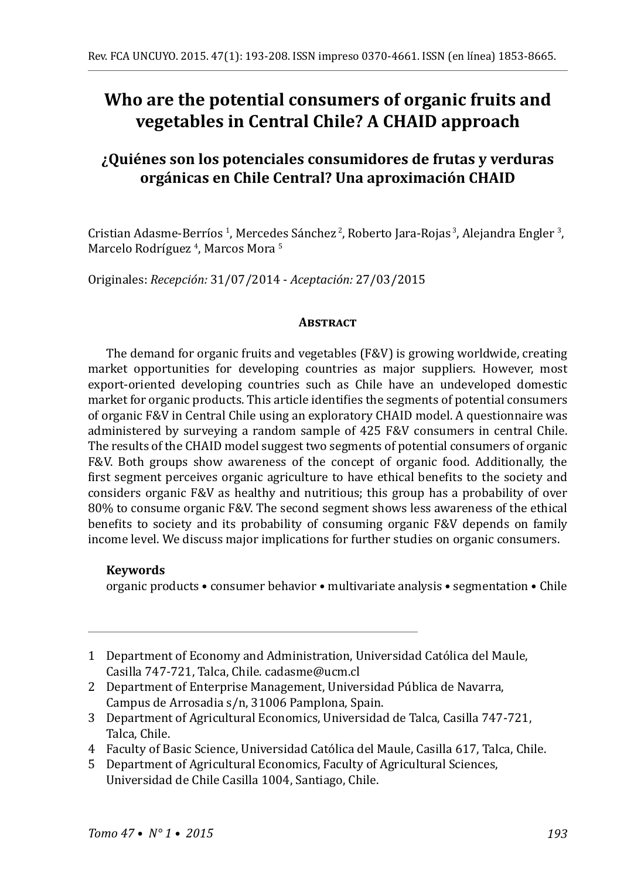# **Who are the potential consumers of organic fruits and vegetables in Central Chile? A CHAID approach**

## **¿Quiénes son los potenciales consumidores de frutas y verduras orgánicas en Chile Central? Una aproximación CHAID**

Cristian Adasme-Berríos <sup>I</sup>, Mercedes Sánchez <sup>2</sup>, Roberto Jara-Rojas <sup>3</sup>, Alejandra Engler <sup>3</sup>, Marcelo Rodríguez <sup>4</sup>, Marcos Mora <sup>5</sup>

Originales: *Recepción:* 31/07/2014 - *Aceptación:* 27/03/2015

#### **ABSTRACT**

The demand for organic fruits and vegetables (F&V) is growing worldwide, creating market opportunities for developing countries as major suppliers. However, most export-oriented developing countries such as Chile have an undeveloped domestic market for organic products. This article identifies the segments of potential consumers of organic F&V in Central Chile using an exploratory CHAID model. A questionnaire was administered by surveying a random sample of 425 F&V consumers in central Chile. The results of the CHAID model suggest two segments of potential consumers of organic F&V. Both groups show awareness of the concept of organic food. Additionally, the first segment perceives organic agriculture to have ethical benefits to the society and considers organic F&V as healthy and nutritious; this group has a probability of over 80% to consume organic F&V. The second segment shows less awareness of the ethical benefits to society and its probability of consuming organic F&V depends on family income level. We discuss major implications for further studies on organic consumers.

#### **Keywords**

organic products • consumer behavior • multivariate analysis • segmentation • Chile

- 1 Department of Economy and Administration, Universidad Católica del Maule, Casilla 747-721, Talca, Chile. cadasme@ucm.cl
- 2 Department of Enterprise Management, Universidad Pública de Navarra, Campus de Arrosadia s/n, 31006 Pamplona, Spain.
- 3 Department of Agricultural Economics, Universidad de Talca, Casilla 747-721, Talca, Chile.
- 4 Faculty of Basic Science, Universidad Católica del Maule, Casilla 617, Talca, Chile.
- 5 Department of Agricultural Economics, Faculty of Agricultural Sciences, Universidad de Chile Casilla 1004, Santiago, Chile.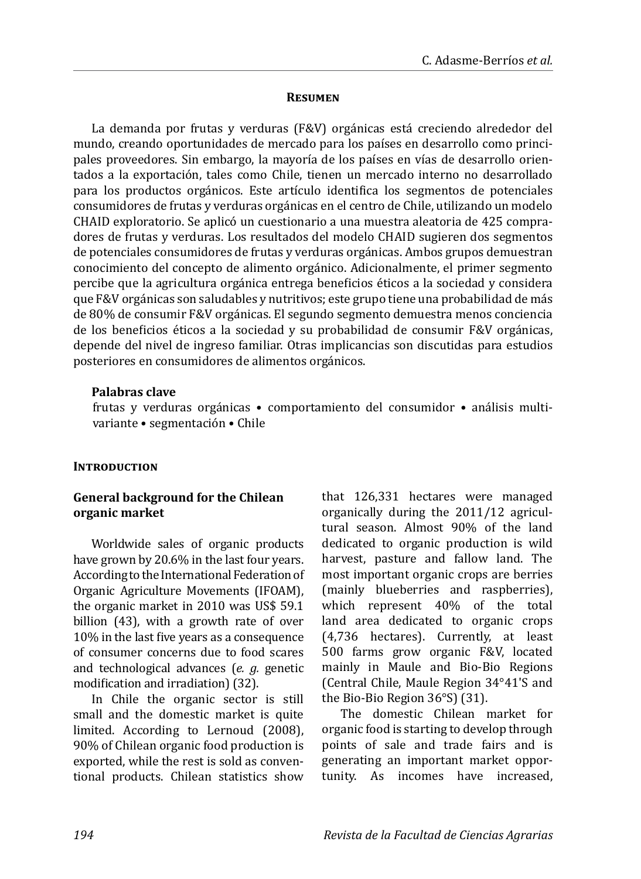#### **Resumen**

La demanda por frutas y verduras (F&V) orgánicas está creciendo alrededor del mundo, creando oportunidades de mercado para los países en desarrollo como principales proveedores. Sin embargo, la mayoría de los países en vías de desarrollo orientados a la exportación, tales como Chile, tienen un mercado interno no desarrollado para los productos orgánicos. Este artículo identifica los segmentos de potenciales consumidores de frutas y verduras orgánicas en el centro de Chile, utilizando un modelo CHAID exploratorio. Se aplicó un cuestionario a una muestra aleatoria de 425 compradores de frutas y verduras. Los resultados del modelo CHAID sugieren dos segmentos de potenciales consumidores de frutas y verduras orgánicas. Ambos grupos demuestran conocimiento del concepto de alimento orgánico. Adicionalmente, el primer segmento percibe que la agricultura orgánica entrega beneficios éticos a la sociedad y considera que F&V orgánicas son saludables y nutritivos; este grupo tiene una probabilidad de más de 80% de consumir F&V orgánicas. El segundo segmento demuestra menos conciencia de los beneficios éticos a la sociedad y su probabilidad de consumir F&V orgánicas, depende del nivel de ingreso familiar. Otras implicancias son discutidas para estudios posteriores en consumidores de alimentos orgánicos.

#### **Palabras clave**

frutas y verduras orgánicas • comportamiento del consumidor • análisis multivariante • segmentación • Chile

#### **INTRODUCTION**

#### **General background for the Chilean organic market**

Worldwide sales of organic products have grown by 20.6% in the last four years. According to the International Federation of Organic Agriculture Movements (IFOAM), the organic market in 2010 was US\$ 59.1 billion (43), with a growth rate of over 10% in the last five years as a consequence of consumer concerns due to food scares and technological advances (*e. g.* genetic modification and irradiation) (32).

In Chile the organic sector is still small and the domestic market is quite limited. According to Lernoud (2008), 90% of Chilean organic food production is exported, while the rest is sold as conventional products. Chilean statistics show that 126,331 hectares were managed organically during the 2011/12 agricultural season. Almost 90% of the land dedicated to organic production is wild harvest, pasture and fallow land. The most important organic crops are berries (mainly blueberries and raspberries), which represent 40% of the total land area dedicated to organic crops (4,736 hectares). Currently, at least 500 farms grow organic F&V, located mainly in Maule and Bio-Bio Regions (Central Chile, Maule Region 34°41'S and the Bio-Bio Region 36°S) (31).

The domestic Chilean market for organic food is starting to develop through points of sale and trade fairs and is generating an important market opportunity. As incomes have increased,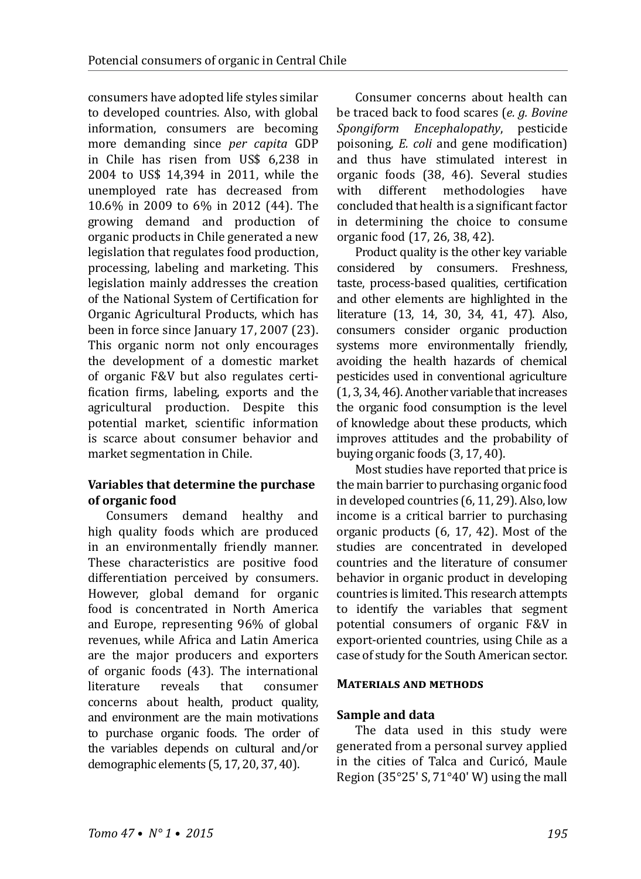consumers have adopted life styles similar to developed countries. Also, with global information, consumers are becoming more demanding since *per capita* GDP in Chile has risen from US\$ 6,238 in 2004 to US\$ 14,394 in 2011, while the unemployed rate has decreased from 10.6% in 2009 to 6% in 2012 (44). The growing demand and production of organic products in Chile generated a new legislation that regulates food production, processing, labeling and marketing. This legislation mainly addresses the creation of the National System of Certification for Organic Agricultural Products, which has been in force since January 17, 2007 (23). This organic norm not only encourages the development of a domestic market of organic F&V but also regulates certification firms, labeling, exports and the agricultural production. Despite this potential market, scientific information is scarce about consumer behavior and market segmentation in Chile.

## **Variables that determine the purchase of organic food**

Consumers demand healthy and high quality foods which are produced in an environmentally friendly manner. These characteristics are positive food differentiation perceived by consumers. However, global demand for organic food is concentrated in North America and Europe, representing 96% of global revenues, while Africa and Latin America are the major producers and exporters of organic foods (43). The international<br>literature reveals that consumer literature concerns about health, product quality, and environment are the main motivations to purchase organic foods. The order of the variables depends on cultural and/or demographic elements (5, 17, 20, 37, 40).

Consumer concerns about health can be traced back to food scares (*e. g. Bovine Spongiform Encephalopathy*, pesticide poisoning, *E. coli* and gene modification) and thus have stimulated interest in organic foods (38, 46). Several studies<br>with different methodologies have methodologies concluded that health is a significant factor in determining the choice to consume organic food (17, 26, 38, 42).

Product quality is the other key variable considered by consumers. Freshness, taste, process-based qualities, certification and other elements are highlighted in the literature (13, 14, 30, 34, 41, 47). Also, consumers consider organic production systems more environmentally friendly, avoiding the health hazards of chemical pesticides used in conventional agriculture (1,3,34,46). Another variable that increases the organic food consumption is the level of knowledge about these products, which improves attitudes and the probability of buying organic foods (3, 17, 40).

Most studies have reported that price is the main barrier to purchasing organic food in developed countries (6, 11, 29). Also, low income is a critical barrier to purchasing organic products (6, 17, 42). Most of the studies are concentrated in developed countries and the literature of consumer behavior in organic product in developing countries is limited. This research attempts to identify the variables that segment potential consumers of organic F&V in export-oriented countries, using Chile as a case of study for the South American sector.

#### **Materials and methods**

#### **Sample and data**

The data used in this study were generated from a personal survey applied in the cities of Talca and Curicó, Maule Region (35 $^{\circ}$ 25' S, 71 $^{\circ}$ 40' W) using the mall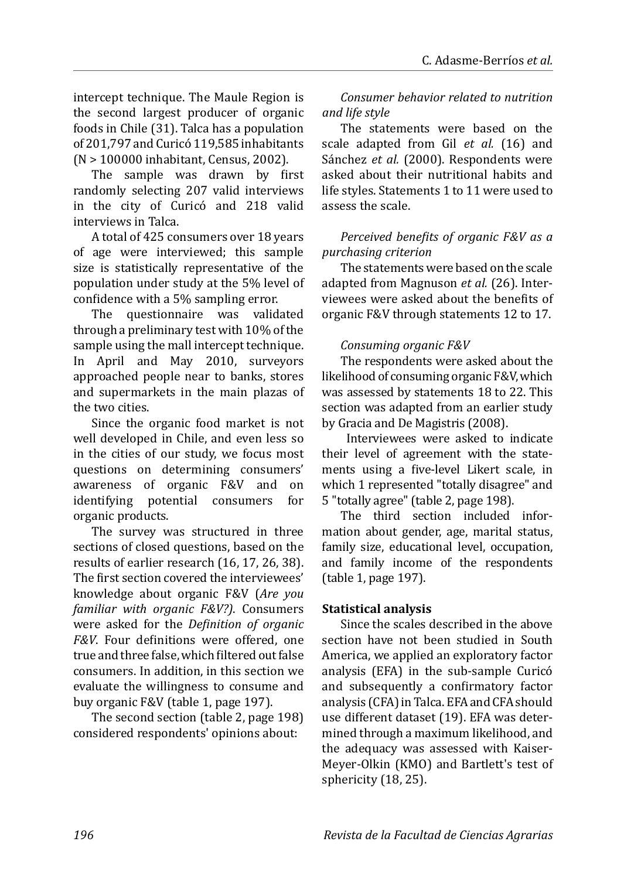intercept technique. The Maule Region is the second largest producer of organic foods in Chile (31). Talca has a population of 201,797 and Curicó 119,585 inhabitants (N > 100000 inhabitant, Census, 2002).

The sample was drawn by first randomly selecting 207 valid interviews in the city of Curicó and 218 valid interviews in Talca.

A total of 425 consumers over 18 years of age were interviewed; this sample size is statistically representative of the population under study at the 5% level of confidence with a 5% sampling error.

The questionnaire was validated through a preliminary test with 10% of the sample using the mall intercept technique. In April and May 2010, surveyors approached people near to banks, stores and supermarkets in the main plazas of the two cities.

Since the organic food market is not well developed in Chile, and even less so in the cities of our study, we focus most questions on determining consumers' awareness of organic F&V and on<br>identifying potential consumers for identifying potential organic products.

The survey was structured in three sections of closed questions, based on the results of earlier research (16, 17, 26, 38). The first section covered the interviewees' knowledge about organic F&V (*Are you familiar with organic F&V?)*. Consumers were asked for the *Definition of organic F&V*. Four definitions were offered, one true and three false, which filtered out false consumers. In addition, in this section we evaluate the willingness to consume and buy organic F&V (table 1, page 197).

The second section (table 2, page 198) considered respondents' opinions about:

*Consumer behavior related to nutrition and life style*

The statements were based on the scale adapted from Gil *et al.* (16) and Sánchez *et al.* (2000). Respondents were asked about their nutritional habits and life styles. Statements 1 to 11 were used to assess the scale.

*Perceived benefits of organic F&V as a purchasing criterion*

The statements were based on the scale adapted from Magnuson *et al.* (26). Interviewees were asked about the benefits of organic F&V through statements 12 to 17.

## *Consuming organic F&V*

The respondents were asked about the likelihood of consuming organic F&V, which was assessed by statements 18 to 22. This section was adapted from an earlier study by Gracia and De Magistris (2008).

 Interviewees were asked to indicate their level of agreement with the statements using a five-level Likert scale, in which 1 represented "totally disagree" and 5 "totally agree" (table 2, page 198).

The third section included information about gender, age, marital status, family size, educational level, occupation, and family income of the respondents (table 1, page 197).

## **Statistical analysis**

Since the scales described in the above section have not been studied in South America, we applied an exploratory factor analysis (EFA) in the sub-sample Curicó and subsequently a confirmatory factor analysis (CFA) in Talca. EFA and CFA should use different dataset (19). EFA was determined through a maximum likelihood, and the adequacy was assessed with Kaiser-Meyer-Olkin (KMO) and Bartlett's test of sphericity (18, 25).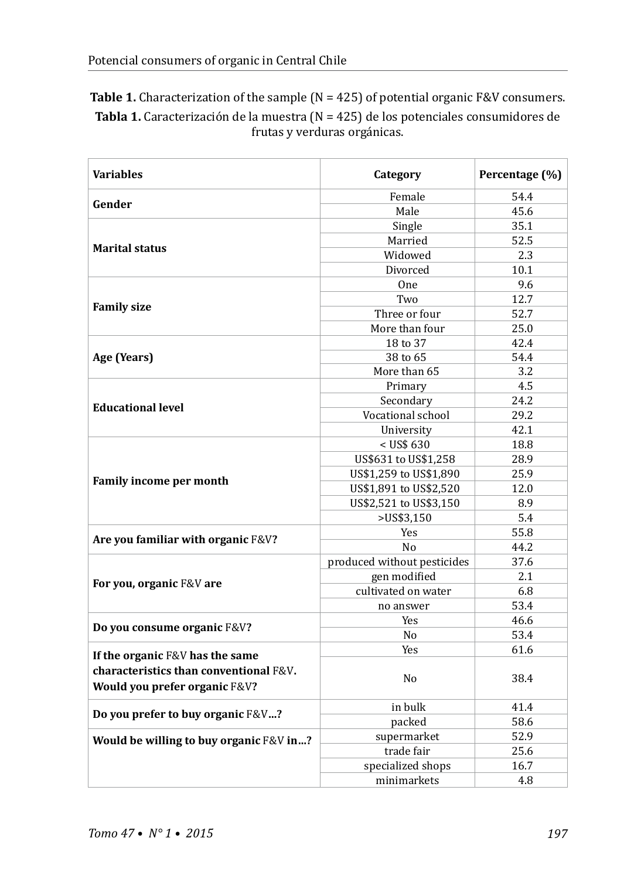| <b>Table 1.</b> Characterization of the sample $(N = 425)$ of potential organic F&V consumers. |
|------------------------------------------------------------------------------------------------|
| <b>Tabla 1.</b> Caracterización de la muestra ( $N = 425$ ) de los potenciales consumidores de |
| frutas y verduras orgánicas.                                                                   |

| <b>Variables</b>                        | Category                    | Percentage (%) |
|-----------------------------------------|-----------------------------|----------------|
|                                         | Female                      | 54.4           |
| Gender                                  | Male                        | 45.6           |
|                                         | Single                      | 35.1           |
| <b>Marital status</b>                   | Married                     | 52.5           |
|                                         | Widowed                     | 2.3            |
|                                         | Divorced                    | 10.1           |
|                                         | One                         | 9.6            |
|                                         | Two                         | 12.7           |
| <b>Family size</b>                      | Three or four               | 52.7           |
|                                         | More than four              | 25.0           |
|                                         | 18 to 37                    | 42.4           |
| Age (Years)                             | 38 to 65                    | 54.4           |
|                                         | More than 65                | 3.2            |
|                                         | Primary                     | 4.5            |
| <b>Educational level</b>                | Secondary                   | 24.2           |
|                                         | Vocational school           | 29.2           |
|                                         | University                  | 42.1           |
|                                         | $<$ US\$ 630                | 18.8           |
|                                         | US\$631 to US\$1,258        | 28.9           |
|                                         | US\$1,259 to US\$1,890      | 25.9           |
| Family income per month                 | US\$1,891 to US\$2,520      | 12.0           |
|                                         | US\$2,521 to US\$3,150      | 8.9            |
|                                         | >US\$3,150                  | 5.4            |
|                                         | Yes                         | 55.8           |
| Are you familiar with organic F&V?      | N <sub>o</sub>              | 44.2           |
|                                         | produced without pesticides | 37.6           |
| For you, organic F&V are                | gen modified                | 2.1            |
|                                         | cultivated on water         | 6.8            |
|                                         | no answer                   | 53.4           |
|                                         | Yes                         | 46.6           |
| Do you consume organic F&V?             | No                          | 53.4           |
| If the organic F&V has the same         | Yes                         | 61.6           |
| characteristics than conventional F&V.  |                             |                |
|                                         | N <sub>0</sub>              | 38.4           |
| Would you prefer organic F&V?           |                             |                |
| Do you prefer to buy organic F&V?       | in bulk                     | 41.4           |
|                                         | packed                      | 58.6           |
| Would be willing to buy organic F&V in? | supermarket                 | 52.9           |
|                                         | trade fair                  | 25.6           |
|                                         | specialized shops           | 16.7           |
|                                         | minimarkets                 | 4.8            |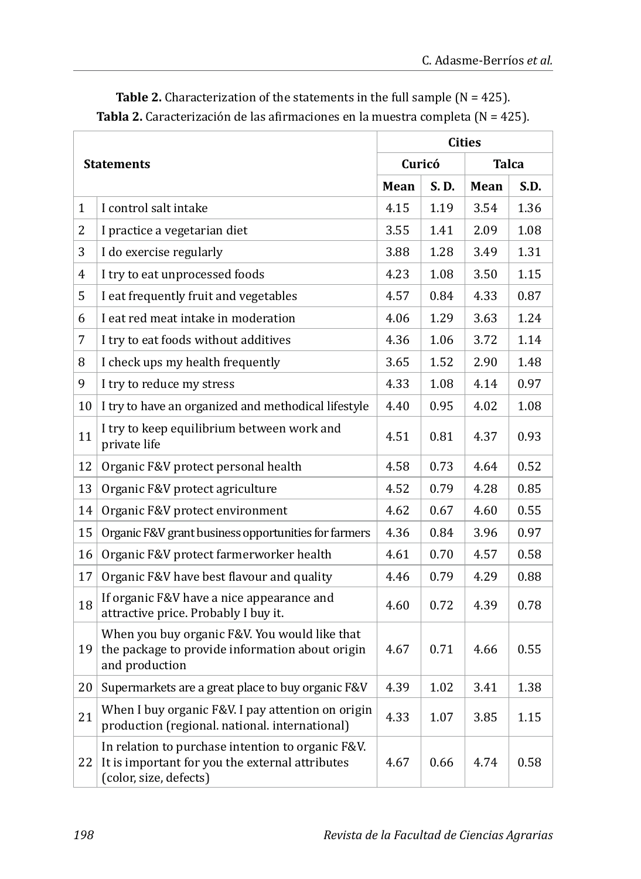|                   |                                                                                                                                | <b>Cities</b> |       |              |      |
|-------------------|--------------------------------------------------------------------------------------------------------------------------------|---------------|-------|--------------|------|
| <b>Statements</b> |                                                                                                                                | Curicó        |       | <b>Talca</b> |      |
|                   |                                                                                                                                | Mean          | S. D. | Mean         | S.D. |
| $\mathbf{1}$      | I control salt intake                                                                                                          | 4.15          | 1.19  | 3.54         | 1.36 |
| $\overline{2}$    | I practice a vegetarian diet                                                                                                   | 3.55          | 1.41  | 2.09         | 1.08 |
| 3                 | I do exercise regularly                                                                                                        | 3.88          | 1.28  | 3.49         | 1.31 |
| 4                 | I try to eat unprocessed foods                                                                                                 | 4.23          | 1.08  | 3.50         | 1.15 |
| 5                 | I eat frequently fruit and vegetables                                                                                          | 4.57          | 0.84  | 4.33         | 0.87 |
| 6                 | I eat red meat intake in moderation                                                                                            | 4.06          | 1.29  | 3.63         | 1.24 |
| 7                 | I try to eat foods without additives                                                                                           | 4.36          | 1.06  | 3.72         | 1.14 |
| 8                 | I check ups my health frequently                                                                                               | 3.65          | 1.52  | 2.90         | 1.48 |
| 9                 | I try to reduce my stress                                                                                                      | 4.33          | 1.08  | 4.14         | 0.97 |
| 10                | I try to have an organized and methodical lifestyle                                                                            | 4.40          | 0.95  | 4.02         | 1.08 |
| 11                | I try to keep equilibrium between work and<br>private life                                                                     | 4.51          | 0.81  | 4.37         | 0.93 |
| 12                | Organic F&V protect personal health                                                                                            | 4.58          | 0.73  | 4.64         | 0.52 |
| 13                | Organic F&V protect agriculture                                                                                                | 4.52          | 0.79  | 4.28         | 0.85 |
| 14                | Organic F&V protect environment                                                                                                | 4.62          | 0.67  | 4.60         | 0.55 |
| 15                | Organic F&V grant business opportunities for farmers                                                                           | 4.36          | 0.84  | 3.96         | 0.97 |
| 16                | Organic F&V protect farmerworker health                                                                                        | 4.61          | 0.70  | 4.57         | 0.58 |
| 17                | Organic F&V have best flavour and quality                                                                                      | 4.46          | 0.79  | 4.29         | 0.88 |
| 18                | If organic F&V have a nice appearance and<br>attractive price. Probably I buy it.                                              | 4.60          | 0.72  | 4.39         | 0.78 |
| 19                | When you buy organic F&V. You would like that<br>the package to provide information about origin<br>and production             | 4.67          | 0.71  | 4.66         | 0.55 |
| 20                | Supermarkets are a great place to buy organic F&V                                                                              | 4.39          | 1.02  | 3.41         | 1.38 |
| 21                | When I buy organic F&V. I pay attention on origin<br>production (regional. national. international)                            | 4.33          | 1.07  | 3.85         | 1.15 |
| 22                | In relation to purchase intention to organic F&V.<br>It is important for you the external attributes<br>(color, size, defects) | 4.67          | 0.66  | 4.74         | 0.58 |

**Table 2.** Characterization of the statements in the full sample (N = 425). **Tabla 2.** Caracterización de las afirmaciones en la muestra completa (N = 425).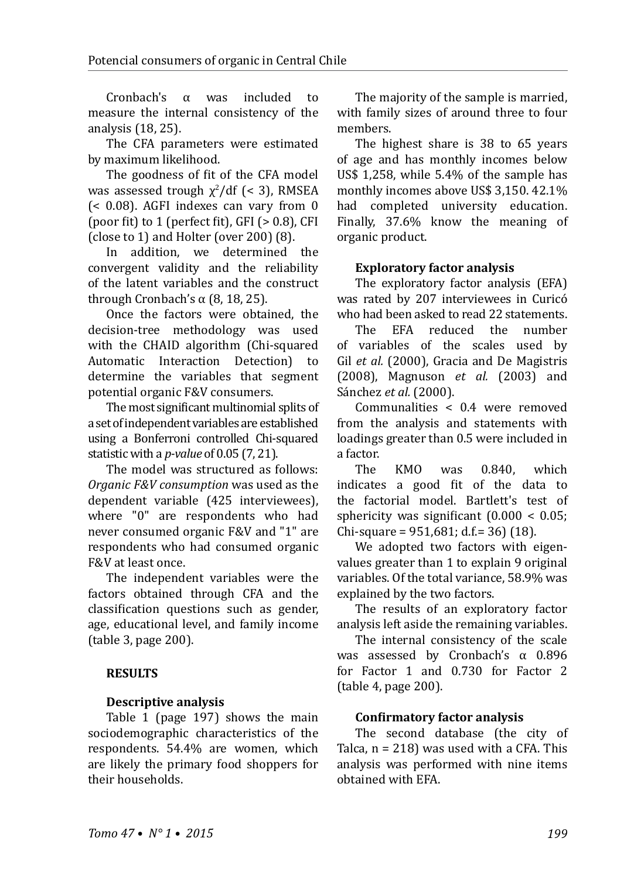Cronbach's α was included to measure the internal consistency of the analysis (18, 25).

The CFA parameters were estimated by maximum likelihood.

The goodness of fit of the CFA model was assessed trough  $\chi^2$ /df (< 3), RMSEA (< 0.08). AGFI indexes can vary from 0 (poor fit) to 1 (perfect fit),  $GFI$  ( $> 0.8$ ),  $CFI$ (close to 1) and Holter (over 200) (8).

In addition, we determined the convergent validity and the reliability of the latent variables and the construct through Cronbach's α  $(8, 18, 25)$ .

Once the factors were obtained, the decision-tree methodology was used with the CHAID algorithm (Chi-squared Automatic Interaction Detection) to determine the variables that segment potential organic F&V consumers.

The most significant multinomial splits of a set of independent variables are established using a Bonferroni controlled Chi-squared statistic with a *p-value* of 0.05 (7, 21).

The model was structured as follows: *Organic F&V consumption* was used as the dependent variable (425 interviewees), where "0" are respondents who had never consumed organic F&V and "1" are respondents who had consumed organic F&V at least once.

The independent variables were the factors obtained through CFA and the classification questions such as gender, age, educational level, and family income (table 3, page 200).

## **RESULTS**

## **Descriptive analysis**

Table 1 (page 197) shows the main sociodemographic characteristics of the respondents. 54.4% are women, which are likely the primary food shoppers for their households.

The majority of the sample is married, with family sizes of around three to four members.

The highest share is 38 to 65 years of age and has monthly incomes below US\$ 1,258, while 5.4% of the sample has monthly incomes above US\$ 3,150. 42.1% had completed university education. Finally, 37.6% know the meaning of organic product.

## **Exploratory factor analysis**

The exploratory factor analysis (EFA) was rated by 207 interviewees in Curicó who had been asked to read 22 statements.<br>The EFA reduced the number

The EFA reduced the number of variables of the scales used by Gil *et al.* (2000), Gracia and De Magistris (2008), Magnuson *et al.* (2003) and Sánchez *et al.* (2000).

Communalities < 0.4 were removed from the analysis and statements with loadings greater than 0.5 were included in a factor.<br>The

The KMO was 0.840, which indicates a good fit of the data to the factorial model. Bartlett's test of sphericity was significant (0.000 < 0.05; Chi-square =  $951,681$ ; d.f.= 36) (18).

We adopted two factors with eigenvalues greater than 1 to explain 9 original variables. Of the total variance, 58.9% was explained by the two factors.

The results of an exploratory factor analysis left aside the remaining variables.

The internal consistency of the scale was assessed by Cronbach's α 0.896 for Factor 1 and 0.730 for Factor 2 (table 4, page 200).

## **Confirmatory factor analysis**

The second database (the city of Talca,  $n = 218$ ) was used with a CFA. This analysis was performed with nine items obtained with EFA.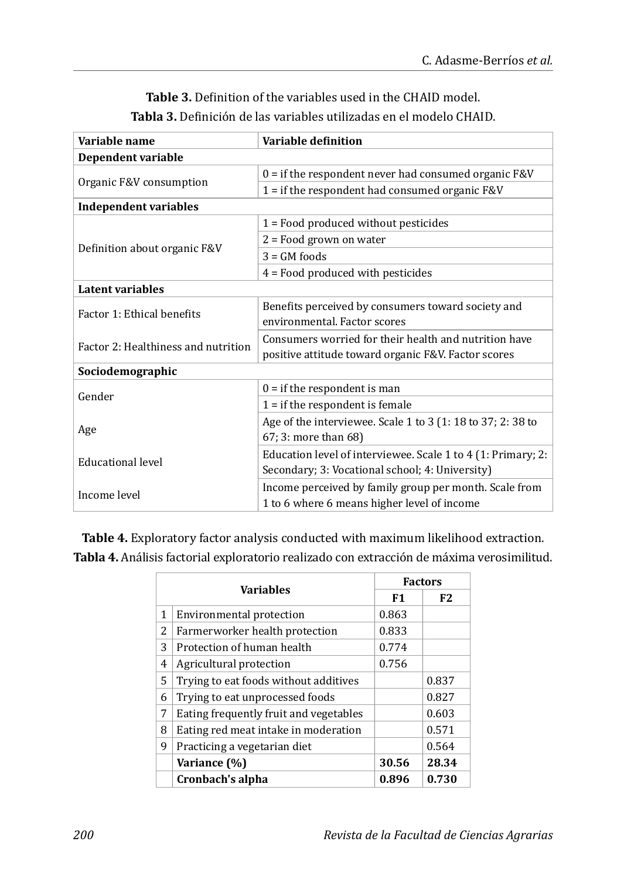## **Table 3.** Definition of the variables used in the CHAID model. **Tabla 3.** Definición de las variables utilizadas en el modelo CHAID.

| Variable name                       | Variable definition                                          |  |  |  |  |
|-------------------------------------|--------------------------------------------------------------|--|--|--|--|
| Dependent variable                  |                                                              |  |  |  |  |
|                                     | $0 =$ if the respondent never had consumed organic F&V       |  |  |  |  |
| Organic F&V consumption             | $1 =$ if the respondent had consumed organic F&V             |  |  |  |  |
| <b>Independent variables</b>        |                                                              |  |  |  |  |
|                                     | $1 =$ Food produced without pesticides                       |  |  |  |  |
|                                     | $2 =$ Food grown on water                                    |  |  |  |  |
| Definition about organic F&V        | $3 = GM$ foods                                               |  |  |  |  |
|                                     | $4$ = Food produced with pesticides                          |  |  |  |  |
| Latent variables                    |                                                              |  |  |  |  |
| Factor 1: Ethical benefits          | Benefits perceived by consumers toward society and           |  |  |  |  |
|                                     | environmental. Factor scores                                 |  |  |  |  |
| Factor 2: Healthiness and nutrition | Consumers worried for their health and nutrition have        |  |  |  |  |
|                                     | positive attitude toward organic F&V. Factor scores          |  |  |  |  |
| Sociodemographic                    |                                                              |  |  |  |  |
| Gender                              | $0 =$ if the respondent is man                               |  |  |  |  |
|                                     | $1 =$ if the respondent is female                            |  |  |  |  |
|                                     | Age of the interviewee. Scale 1 to 3 (1:18 to 37; 2:38 to    |  |  |  |  |
| Age                                 | 67; 3: more than 68)                                         |  |  |  |  |
|                                     | Education level of interviewee. Scale 1 to 4 (1: Primary; 2: |  |  |  |  |
| <b>Educational level</b>            | Secondary; 3: Vocational school; 4: University)              |  |  |  |  |
| Income level                        | Income perceived by family group per month. Scale from       |  |  |  |  |
|                                     | 1 to 6 where 6 means higher level of income                  |  |  |  |  |

**Table 4.** Exploratory factor analysis conducted with maximum likelihood extraction. **Tabla 4.** Análisis factorial exploratorio realizado con extracción de máxima verosimilitud.

| <b>Variables</b> |                                        | <b>Factors</b> |       |
|------------------|----------------------------------------|----------------|-------|
|                  |                                        | F1             | F2    |
| 1                | Environmental protection               | 0.863          |       |
| 2                | Farmerworker health protection         | 0.833          |       |
| 3                | Protection of human health             | 0.774          |       |
| 4                | Agricultural protection                | 0.756          |       |
| 5                | Trying to eat foods without additives  |                | 0.837 |
| 6                | Trying to eat unprocessed foods        |                | 0.827 |
| 7                | Eating frequently fruit and vegetables |                | 0.603 |
| 8                | Eating red meat intake in moderation   |                | 0.571 |
| 9                | Practicing a vegetarian diet           |                | 0.564 |
|                  | Variance (%)                           | 30.56          | 28.34 |
|                  | Cronbach's alpha                       | 0.896          | 0.730 |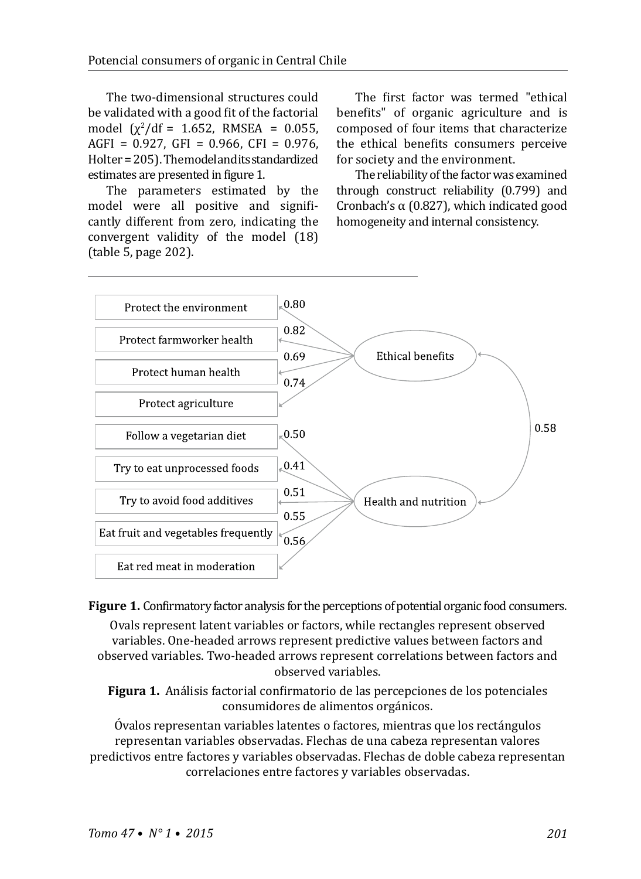The two-dimensional structures could be validated with a good fit of the factorial model  $(\chi^2/df = 1.652, \text{ RMSEA} = 0.055,$ AGFI =  $0.927$ , GFI =  $0.966$ , CFI =  $0.976$ , Holter = 205). The model and its standardized estimates are presented in figure 1.

The parameters estimated by the model were all positive and significantly different from zero, indicating the convergent validity of the model (18) (table 5, page 202).

The first factor was termed "ethical benefits" of organic agriculture and is composed of four items that characterize the ethical benefits consumers perceive for society and the environment.

The reliability of the factor was examined through construct reliability (0.799) and Cronbach's α (0.827), which indicated good homogeneity and internal consistency.



**Figure 1.** Confirmatory factor analysis for the perceptions of potential organic food consumers. Ovals represent latent variables or factors, while rectangles represent observed variables. One-headed arrows represent predictive values between factors and observed variables. Two-headed arrows represent correlations between factors and observed variables.

**Figura 1.** Análisis factorial confirmatorio de las percepciones de los potenciales consumidores de alimentos orgánicos.

Óvalos representan variables latentes o factores, mientras que los rectángulos representan variables observadas. Flechas de una cabeza representan valores predictivos entre factores y variables observadas. Flechas de doble cabeza representan correlaciones entre factores y variables observadas.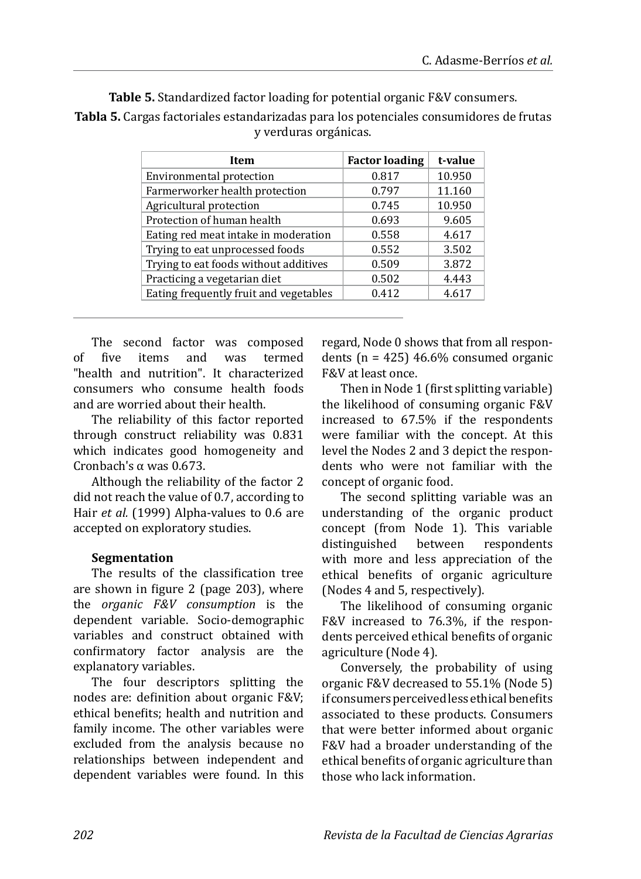| 10.950<br>0.817<br>11.160<br>0.797 |
|------------------------------------|
|                                    |
|                                    |
| 10.950<br>0.745                    |
| 0.693<br>9.605                     |
| 0.558<br>4.617                     |
| 3.502<br>0.552                     |
| 3.872<br>0.509                     |
| 0.502<br>4.443                     |
| 0.412<br>4.617                     |
|                                    |

**Table 5.** Standardized factor loading for potential organic F&V consumers. **Tabla 5.** Cargas factoriales estandarizadas para los potenciales consumidores de frutas

y verduras orgánicas.

The second factor was composed<br>of five items and was termed of five items and was termed "health and nutrition". It characterized consumers who consume health foods and are worried about their health.

The reliability of this factor reported through construct reliability was 0.831 which indicates good homogeneity and Cronbach's  $\alpha$  was 0.673.

Although the reliability of the factor 2 did not reach the value of 0.7, according to Hair *et al.* (1999) Alpha-values to 0.6 are accepted on exploratory studies.

## **Segmentation**

The results of the classification tree are shown in figure 2 (page 203), where the *organic F&V consumption* is the dependent variable. Socio-demographic variables and construct obtained with confirmatory factor analysis are the explanatory variables.

The four descriptors splitting the nodes are: definition about organic F&V; ethical benefits; health and nutrition and family income. The other variables were excluded from the analysis because no relationships between independent and dependent variables were found. In this regard, Node 0 shows that from all respondents ( $n = 425$ ) 46.6% consumed organic F&V at least once.

Then in Node 1 (first splitting variable) the likelihood of consuming organic F&V increased to 67.5% if the respondents were familiar with the concept. At this level the Nodes 2 and 3 depict the respondents who were not familiar with the concept of organic food.

The second splitting variable was an understanding of the organic product concept (from Node 1). This variable<br>distinguished between respondents distinguished with more and less appreciation of the ethical benefits of organic agriculture (Nodes 4 and 5, respectively).

The likelihood of consuming organic F&V increased to 76.3%, if the respondents perceived ethical benefits of organic agriculture (Node 4).

Conversely, the probability of using organic F&V decreased to 55.1% (Node 5) if consumers perceived less ethical benefits associated to these products. Consumers that were better informed about organic F&V had a broader understanding of the ethical benefits of organic agriculture than those who lack information.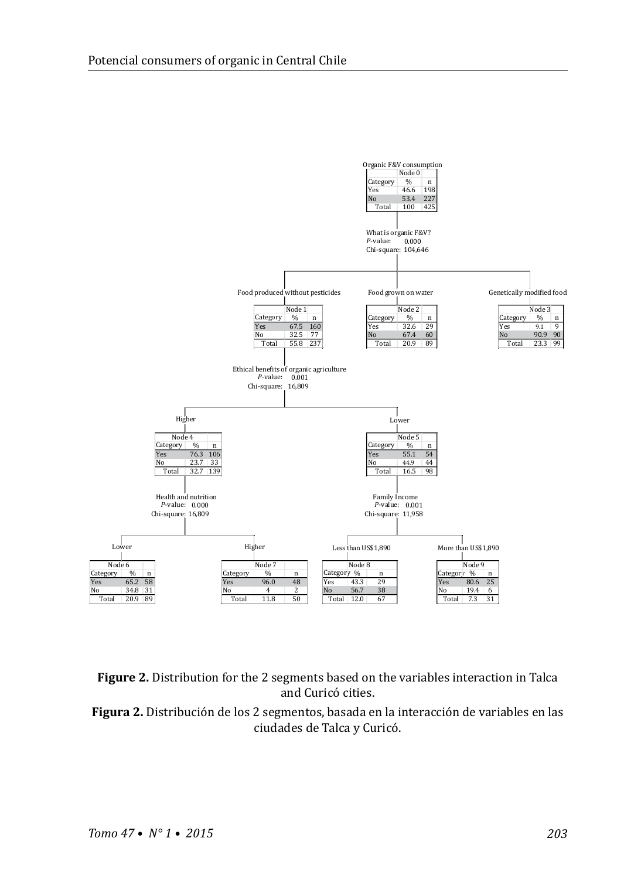



**Figura 2.** Distribución de los 2 segmentos, basada en la interacción de variables en las ciudades de Talca y Curicó.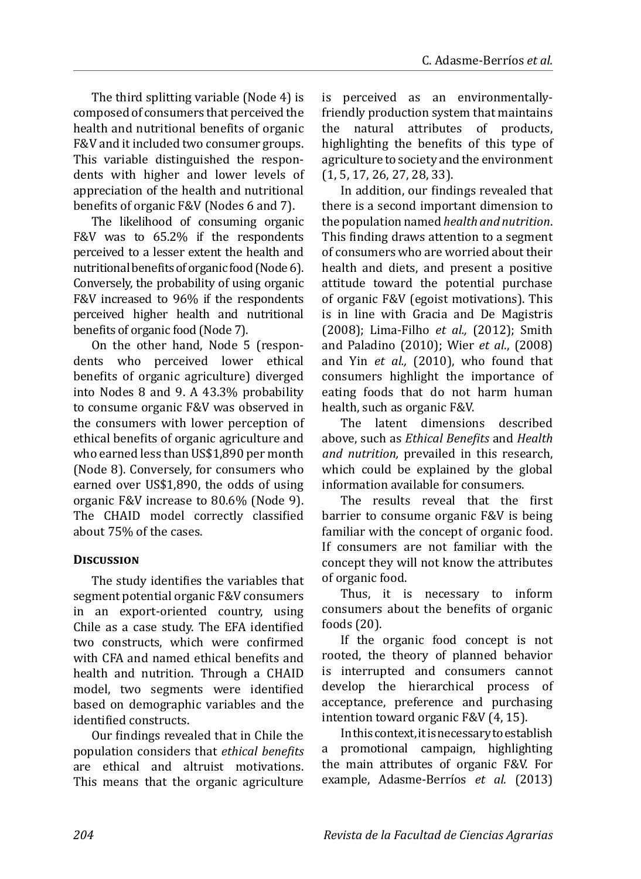The third splitting variable (Node 4) is composed of consumers that perceived the health and nutritional benefits of organic F&V and it included two consumer groups. This variable distinguished the respondents with higher and lower levels of appreciation of the health and nutritional benefits of organic F&V (Nodes 6 and 7).

The likelihood of consuming organic F&V was to 65.2% if the respondents perceived to a lesser extent the health and nutritional benefits of organic food (Node 6). Conversely, the probability of using organic F&V increased to 96% if the respondents perceived higher health and nutritional benefits of organic food (Node 7).

On the other hand, Node 5 (respondents who perceived lower ethical benefits of organic agriculture) diverged into Nodes 8 and 9. A 43.3% probability to consume organic F&V was observed in the consumers with lower perception of ethical benefits of organic agriculture and who earned less than US\$1,890 per month (Node 8). Conversely, for consumers who earned over US\$1,890, the odds of using organic F&V increase to 80.6% (Node 9). The CHAID model correctly classified about 75% of the cases.

## **Discussion**

The study identifies the variables that segment potential organic F&V consumers in an export-oriented country, using Chile as a case study. The EFA identified two constructs, which were confirmed with CFA and named ethical benefits and health and nutrition. Through a CHAID model, two segments were identified based on demographic variables and the identified constructs.

Our findings revealed that in Chile the population considers that *ethical benefits*  are ethical and altruist motivations. This means that the organic agriculture is perceived as an environmentallyfriendly production system that maintains the natural attributes of products, highlighting the benefits of this type of agriculture to society and the environment (1, 5, 17, 26, 27, 28, 33).

In addition, our findings revealed that there is a second important dimension to the population named *health and nutrition*. This finding draws attention to a segment of consumers who are worried about their health and diets, and present a positive attitude toward the potential purchase of organic F&V (egoist motivations). This is in line with Gracia and De Magistris (2008); Lima-Filho *et al.,* (2012); Smith and Paladino (2010); Wier *et al*., (2008) and Yin *et al.,* (2010), who found that consumers highlight the importance of eating foods that do not harm human health, such as organic F&V.

The latent dimensions described above, such as *Ethical Benefits* and *Health and nutrition,* prevailed in this research, which could be explained by the global information available for consumers.

The results reveal that the first barrier to consume organic F&V is being familiar with the concept of organic food. If consumers are not familiar with the concept they will not know the attributes of organic food.

Thus, it is necessary to inform consumers about the benefits of organic foods (20).

If the organic food concept is not rooted, the theory of planned behavior is interrupted and consumers cannot develop the hierarchical process of acceptance, preference and purchasing intention toward organic F&V (4, 15).

In this context, it is necessary to establish a promotional campaign, highlighting the main attributes of organic F&V. For example, Adasme-Berríos *et al.* (2013)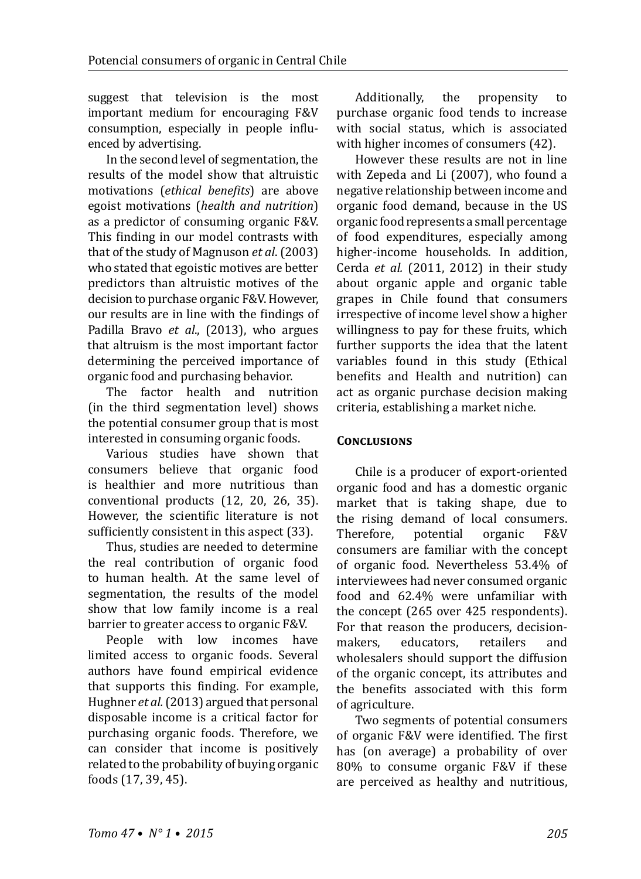suggest that television is the most important medium for encouraging F&V consumption, especially in people influenced by advertising.

In the second level of segmentation, the results of the model show that altruistic motivations (*ethical benefits*) are above egoist motivations (*health and nutrition*) as a predictor of consuming organic F&V. This finding in our model contrasts with that of the study of Magnuson *et al*. (2003) who stated that egoistic motives are better predictors than altruistic motives of the decision to purchase organic F&V. However, our results are in line with the findings of Padilla Bravo *et al*., (2013), who argues that altruism is the most important factor determining the perceived importance of organic food and purchasing behavior.

The factor health and nutrition (in the third segmentation level) shows the potential consumer group that is most interested in consuming organic foods.

Various studies have shown that consumers believe that organic food is healthier and more nutritious than conventional products (12, 20, 26, 35). However, the scientific literature is not sufficiently consistent in this aspect (33).

Thus, studies are needed to determine the real contribution of organic food to human health. At the same level of segmentation, the results of the model show that low family income is a real barrier to greater access to organic F&V.

People with low incomes have limited access to organic foods. Several authors have found empirical evidence that supports this finding. For example, Hughner *et al.* (2013) argued that personal disposable income is a critical factor for purchasing organic foods. Therefore, we can consider that income is positively related to the probability of buying organic foods (17, 39, 45).

Additionally, the propensity to purchase organic food tends to increase with social status, which is associated with higher incomes of consumers (42).

However these results are not in line with Zepeda and Li (2007), who found a negative relationship between income and organic food demand, because in the US organic food represents a small percentage of food expenditures, especially among higher-income households. In addition, Cerda *et al.* (2011, 2012) in their study about organic apple and organic table grapes in Chile found that consumers irrespective of income level show a higher willingness to pay for these fruits, which further supports the idea that the latent variables found in this study (Ethical benefits and Health and nutrition) can act as organic purchase decision making criteria, establishing a market niche.

## **Conclusions**

Chile is a producer of export-oriented organic food and has a domestic organic market that is taking shape, due to the rising demand of local consumers.<br>Therefore. potential organic F&V Therefore, potential organic F&V consumers are familiar with the concept of organic food. Nevertheless 53.4% of interviewees had never consumed organic food and 62.4% were unfamiliar with the concept (265 over 425 respondents). For that reason the producers, decision-<br>makers. educators. retailers and makers, educators, retailers and wholesalers should support the diffusion of the organic concept, its attributes and the benefits associated with this form of agriculture.

Two segments of potential consumers of organic F&V were identified. The first has (on average) a probability of over 80% to consume organic F&V if these are perceived as healthy and nutritious,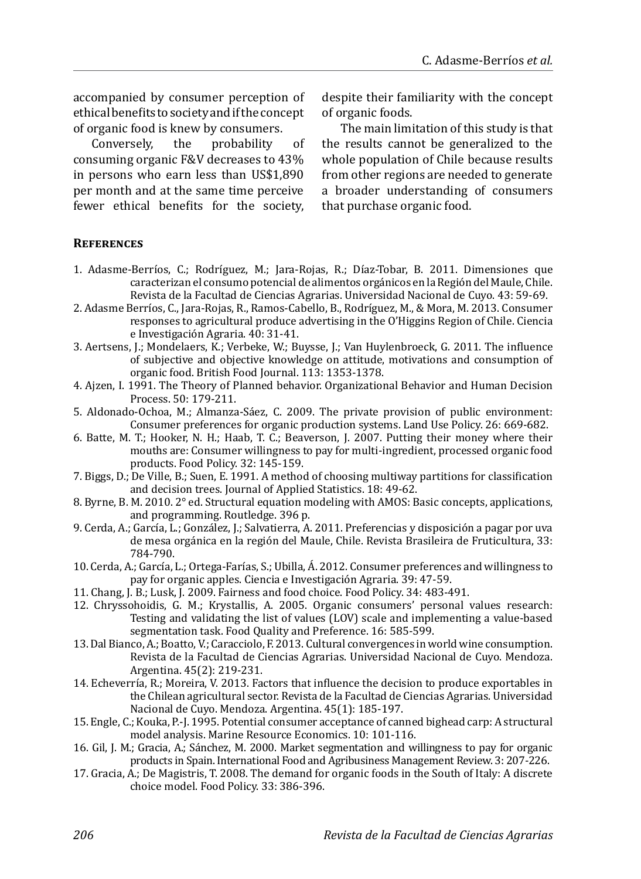accompanied by consumer perception of ethical benefits to society and if the concept

of organic food is knew by consumers.<br>Conversely. the probability Conversely, the probability of consuming organic F&V decreases to 43% in persons who earn less than US\$1,890 per month and at the same time perceive fewer ethical benefits for the society, despite their familiarity with the concept of organic foods.

The main limitation of this study is that the results cannot be generalized to the whole population of Chile because results from other regions are needed to generate a broader understanding of consumers that purchase organic food.

## **References**

- 1. Adasme-Berríos, C.; Rodríguez, M.; Jara-Rojas, R.; Díaz-Tobar, B. 2011. Dimensiones que caracterizan el consumo potencial de alimentos orgánicos en la Región del Maule, Chile. Revista de la Facultad de Ciencias Agrarias. Universidad Nacional de Cuyo. 43: 59-69.
- 2. Adasme Berríos, C., Jara-Rojas, R., Ramos-Cabello, B., Rodríguez, M., & Mora, M. 2013. Consumer responses to agricultural produce advertising in the O'Higgins Region of Chile. Ciencia e Investigación Agraria. 40: 31-41.
- 3. Aertsens, J.; Mondelaers, K.; Verbeke, W.; Buysse, J.; Van Huylenbroeck, G. 2011. The influence of subjective and objective knowledge on attitude, motivations and consumption of organic food. British Food Journal. 113: 1353-1378.
- 4. Ajzen, I. 1991. The Theory of Planned behavior. Organizational Behavior and Human Decision Process. 50: 179-211.
- 5. Aldonado-Ochoa, M.; Almanza-Sáez, C. 2009. The private provision of public environment: Consumer preferences for organic production systems. Land Use Policy. 26: 669-682.
- 6. Batte, M. T.; Hooker, N. H.; Haab, T. C.; Beaverson, J. 2007. Putting their money where their mouths are: Consumer willingness to pay for multi-ingredient, processed organic food products. Food Policy. 32: 145-159.
- 7. Biggs, D.; De Ville, B.; Suen, E. 1991. A method of choosing multiway partitions for classification and decision trees. Journal of Applied Statistics. 18: 49-62.
- 8. Byrne, B. M. 2010. 2° ed. Structural equation modeling with AMOS: Basic concepts, applications, and programming. Routledge. 396 p.
- 9. Cerda, A.; García, L.; González, J.; Salvatierra, A. 2011. Preferencias y disposición a pagar por uva de mesa orgánica en la región del Maule, Chile. Revista Brasileira de Fruticultura, 33: 784-790.
- 10. Cerda, A.; García, L.; Ortega-Farías, S.; Ubilla, Á. 2012. Consumer preferences and willingness to pay for organic apples. Ciencia e Investigación Agraria. 39: 47-59.
- 11. Chang, J. B.; Lusk, J. 2009. Fairness and food choice. Food Policy. 34: 483-491.
- 12. Chryssohoidis, G. M.; Krystallis, A. 2005. Organic consumers' personal values research: Testing and validating the list of values (LOV) scale and implementing a value-based segmentation task. Food Quality and Preference. 16: 585-599.
- 13. Dal Bianco, A.; Boatto, V.; Caracciolo, F. 2013. Cultural convergences in world wine consumption. Revista de la Facultad de Ciencias Agrarias. Universidad Nacional de Cuyo. Mendoza. Argentina. 45(2): 219-231.
- 14. Echeverría, R.; Moreira, V. 2013. Factors that influence the decision to produce exportables in the Chilean agricultural sector. Revista de la Facultad de Ciencias Agrarias. Universidad Nacional de Cuyo. Mendoza. Argentina. 45(1): 185-197.
- 15. Engle, C.; Kouka, P.-J. 1995. Potential consumer acceptance of canned bighead carp: A structural model analysis. Marine Resource Economics. 10: 101-116.
- 16. Gil, J. M.; Gracia, A.; Sánchez, M. 2000. Market segmentation and willingness to pay for organic products in Spain. International Food and Agribusiness Management Review. 3: 207-226.
- 17. Gracia, A.; De Magistris, T. 2008. The demand for organic foods in the South of Italy: A discrete choice model. Food Policy. 33: 386-396.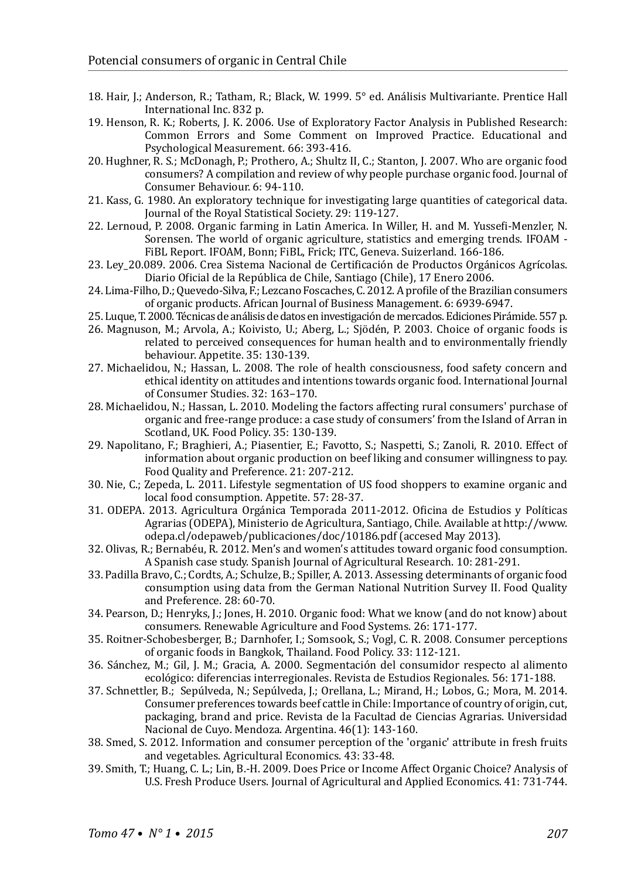- 18. Hair, J.; Anderson, R.; Tatham, R.; Black, W. 1999. 5° ed. Análisis Multivariante. Prentice Hall International Inc. 832 p.
- 19. Henson, R. K.; Roberts, J. K. 2006. Use of Exploratory Factor Analysis in Published Research: Common Errors and Some Comment on Improved Practice. Educational and Psychological Measurement. 66: 393-416.
- 20. Hughner, R. S.; McDonagh, P.; Prothero, A.; Shultz II, C.; Stanton, J. 2007. Who are organic food consumers? A compilation and review of why people purchase organic food. Journal of Consumer Behaviour. 6: 94-110.
- 21. Kass, G. 1980. An exploratory technique for investigating large quantities of categorical data. Journal of the Royal Statistical Society. 29: 119-127.
- 22. Lernoud, P. 2008. Organic farming in Latin America. In Willer, H. and M. Yussefi-Menzler, N. Sorensen. The world of organic agriculture, statistics and emerging trends. IFOAM - FiBL Report. IFOAM, Bonn; FiBL, Frick; ITC, Geneva. Suizerland. 166-186.
- 23. Ley\_20.089. 2006. Crea Sistema Nacional de Certificación de Productos Orgánicos Agrícolas. Diario Oficial de la República de Chile, Santiago (Chile), 17 Enero 2006.
- 24. Lima-Filho, D.; Quevedo-Silva, F.; Lezcano Foscaches, C. 2012. A profile of the Brazilian consumers of organic products. African Journal of Business Management. 6: 6939-6947.
- 25. Luque, T. 2000. Técnicas de análisis de datos en investigación de mercados. Ediciones Pirámide. 557 p.
- 26. Magnuson, M.; Arvola, A.; Koivisto, U.; Aberg, L.; Sjödén, P. 2003. Choice of organic foods is related to perceived consequences for human health and to environmentally friendly behaviour. Appetite. 35: 130-139.
- 27. Michaelidou, N.; Hassan, L. 2008. The role of health consciousness, food safety concern and ethical identity on attitudes and intentions towards organic food. International Journal of Consumer Studies. 32: 163–170.
- 28. Michaelidou, N.; Hassan, L. 2010. Modeling the factors affecting rural consumers' purchase of organic and free-range produce: a case study of consumers' from the Island of Arran in Scotland, UK. Food Policy. 35: 130-139.
- 29. Napolitano, F.; Braghieri, A.; Piasentier, E.; Favotto, S.; Naspetti, S.; Zanoli, R. 2010. Effect of information about organic production on beef liking and consumer willingness to pay. Food Quality and Preference. 21: 207-212.
- 30. Nie, C.; Zepeda, L. 2011. Lifestyle segmentation of US food shoppers to examine organic and local food consumption. Appetite. 57: 28-37.
- 31. ODEPA. 2013. Agricultura Orgánica Temporada 2011-2012. Oficina de Estudios y Políticas Agrarias (ODEPA), Ministerio de Agricultura, Santiago, Chile. Available at http://www. odepa.cl/odepaweb/publicaciones/doc/10186.pdf (accesed May 2013).
- 32. Olivas, R.; Bernabéu, R. 2012. Men's and women's attitudes toward organic food consumption. A Spanish case study. Spanish Journal of Agricultural Research. 10: 281-291.
- 33. Padilla Bravo, C.; Cordts, A.; Schulze, B.; Spiller, A. 2013. Assessing determinants of organic food consumption using data from the German National Nutrition Survey II. Food Quality and Preference. 28: 60-70.
- 34. Pearson, D.; Henryks, J.; Jones, H. 2010. Organic food: What we know (and do not know) about consumers. Renewable Agriculture and Food Systems. 26: 171-177.
- 35. Roitner-Schobesberger, B.; Darnhofer, I.; Somsook, S.; Vogl, C. R. 2008. Consumer perceptions of organic foods in Bangkok, Thailand. Food Policy. 33: 112-121.
- 36. Sánchez, M.; Gil, J. M.; Gracia, A. 2000. Segmentación del consumidor respecto al alimento ecológico: diferencias interregionales. Revista de Estudios Regionales. 56: 171-188.
- 37. Schnettler, B.; Sepúlveda, N.; Sepúlveda, J.; Orellana, L.; Mirand, H.; Lobos, G.; Mora, M. 2014. Consumer preferences towards beef cattle in Chile: Importance of country of origin, cut, packaging, brand and price. Revista de la Facultad de Ciencias Agrarias. Universidad Nacional de Cuyo. Mendoza. Argentina. 46(1): 143-160.
- 38. Smed, S. 2012. Information and consumer perception of the 'organic' attribute in fresh fruits and vegetables. Agricultural Economics. 43: 33-48.
- 39. Smith, T.; Huang, C. L.; Lin, B.-H. 2009. Does Price or Income Affect Organic Choice? Analysis of U.S. Fresh Produce Users. Journal of Agricultural and Applied Economics. 41: 731-744.